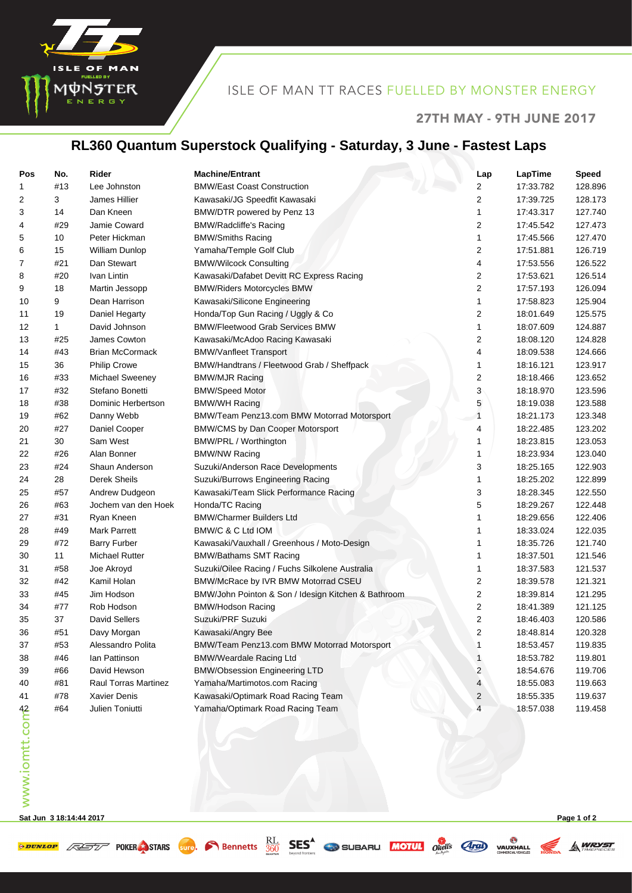

#### ISLE OF MAN TT RACES FUELLED BY MONSTER ENERGY

#### 27TH MAY - 9TH JUNE 2017

## **RL360 Quantum Superstock Qualifying - Saturday, 3 June - Fastest Laps**

| Pos            | No. | Rider                  | <b>Machine/Entrant</b>                              | Lap | LapTime   | <b>Speed</b> |
|----------------|-----|------------------------|-----------------------------------------------------|-----|-----------|--------------|
| 1              | #13 | Lee Johnston           | <b>BMW/East Coast Construction</b>                  | 2   | 17:33.782 | 128.896      |
| 2              | 3   | James Hillier          | Kawasaki/JG Speedfit Kawasaki                       | 2   | 17:39.725 | 128.173      |
| 3              | 14  | Dan Kneen              | BMW/DTR powered by Penz 13                          | 1   | 17:43.317 | 127.740      |
| 4              | #29 | Jamie Coward           | <b>BMW/Radcliffe's Racing</b>                       | 2   | 17:45.542 | 127.473      |
| 5              | 10  | Peter Hickman          | <b>BMW/Smiths Racing</b>                            | 1   | 17:45.566 | 127.470      |
| 6              | 15  | William Dunlop         | Yamaha/Temple Golf Club                             | 2   | 17:51.881 | 126.719      |
| 7              | #21 | Dan Stewart            | <b>BMW/Wilcock Consulting</b>                       | 4   | 17:53.556 | 126.522      |
| 8              | #20 | Ivan Lintin            | Kawasaki/Dafabet Devitt RC Express Racing           | 2   | 17:53.621 | 126.514      |
| 9              | 18  | Martin Jessopp         | <b>BMW/Riders Motorcycles BMW</b>                   | 2   | 17:57.193 | 126.094      |
| 10             | 9   | Dean Harrison          | Kawasaki/Silicone Engineering                       | 1   | 17:58.823 | 125.904      |
| 11             | 19  | Daniel Hegarty         | Honda/Top Gun Racing / Uggly & Co                   | 2   | 18:01.649 | 125.575      |
| 12             | 1   | David Johnson          | <b>BMW/Fleetwood Grab Services BMW</b>              | 1   | 18:07.609 | 124.887      |
| 13             | #25 | James Cowton           | Kawasaki/McAdoo Racing Kawasaki                     | 2   | 18:08.120 | 124.828      |
| 14             | #43 | <b>Brian McCormack</b> | <b>BMW/Vanfleet Transport</b>                       | 4   | 18:09.538 | 124.666      |
| 15             | 36  | <b>Philip Crowe</b>    | BMW/Handtrans / Fleetwood Grab / Sheffpack          | 1   | 18:16.121 | 123.917      |
| 16             | #33 | Michael Sweeney        | <b>BMW/MJR Racing</b>                               | 2   | 18:18.466 | 123.652      |
| 17             | #32 | Stefano Bonetti        | <b>BMW/Speed Motor</b>                              | 3   | 18:18.970 | 123.596      |
| 18             | #38 | Dominic Herbertson     | <b>BMW/WH Racing</b>                                | 5   | 18:19.038 | 123.588      |
| 19             | #62 | Danny Webb             | BMW/Team Penz13.com BMW Motorrad Motorsport         | 1   | 18:21.173 | 123.348      |
| 20             | #27 | Daniel Cooper          | <b>BMW/CMS by Dan Cooper Motorsport</b>             | 4   | 18:22.485 | 123.202      |
| 21             | 30  | Sam West               | BMW/PRL / Worthington                               | 1   | 18:23.815 | 123.053      |
| 22             | #26 | Alan Bonner            | <b>BMW/NW Racing</b>                                | 1   | 18:23.934 | 123.040      |
| 23             | #24 | Shaun Anderson         | Suzuki/Anderson Race Developments                   | 3   | 18:25.165 | 122.903      |
| 24             | 28  | Derek Sheils           | Suzuki/Burrows Engineering Racing                   | 1   | 18:25.202 | 122.899      |
| 25             | #57 | Andrew Dudgeon         | Kawasaki/Team Slick Performance Racing              | 3   | 18:28.345 | 122.550      |
| 26             | #63 | Jochem van den Hoek    | Honda/TC Racing                                     | 5   | 18:29.267 | 122.448      |
| 27             | #31 | Ryan Kneen             | <b>BMW/Charmer Builders Ltd</b>                     | 1   | 18:29.656 | 122.406      |
| 28             | #49 | <b>Mark Parrett</b>    | BMW/C & C Ltd IOM                                   | 1   | 18:33.024 | 122.035      |
| 29             | #72 | <b>Barry Furber</b>    | Kawasaki/Vauxhall / Greenhous / Moto-Design         | 1   | 18:35.726 | 121.740      |
| 30             | 11  | <b>Michael Rutter</b>  | <b>BMW/Bathams SMT Racing</b>                       | 1   | 18:37.501 | 121.546      |
| 31             | #58 | Joe Akroyd             | Suzuki/Oilee Racing / Fuchs Silkolene Australia     | 1   | 18:37.583 | 121.537      |
| 32             | #42 | Kamil Holan            | BMW/McRace by IVR BMW Motorrad CSEU                 | 2   | 18:39.578 | 121.321      |
| 33             | #45 | Jim Hodson             | BMW/John Pointon & Son / Idesign Kitchen & Bathroom | 2   | 18:39.814 | 121.295      |
| 34             | #77 | Rob Hodson             | <b>BMW/Hodson Racing</b>                            | 2   | 18:41.389 | 121.125      |
| 35             | 37  | <b>David Sellers</b>   | Suzuki/PRF Suzuki                                   | 2   | 18:46.403 | 120.586      |
| 36             | #51 | Davy Morgan            | Kawasaki/Angry Bee                                  | 2   | 18:48.814 | 120.328      |
| 37             | #53 | Alessandro Polita      | BMW/Team Penz13.com BMW Motorrad Motorsport         | 1   | 18:53.457 | 119.835      |
| 38             | #46 | lan Pattinson          | <b>BMW/Weardale Racing Ltd</b>                      | 1   | 18:53.782 | 119.801      |
| 39             | #66 | David Hewson           | <b>BMW/Obsession Engineering LTD</b>                | 2   | 18:54.676 | 119.706      |
| 40             | #81 | Raul Torras Martinez   | Yamaha/Martimotos.com Racing                        | 4   | 18:55.083 | 119.663      |
| 41             | #78 | Xavier Denis           | Kawasaki/Optimark Road Racing Team                  | 2   | 18:55.335 | 119.637      |
| www.iomtt.comb | #64 | Julien Toniutti        | Yamaha/Optimark Road Racing Team                    | 4   | 18:57.038 | 119.458      |
|                |     |                        |                                                     |     |           |              |

**Sat Jun 3 18:14:44 2017 Page 1 of 2**

A WRYST